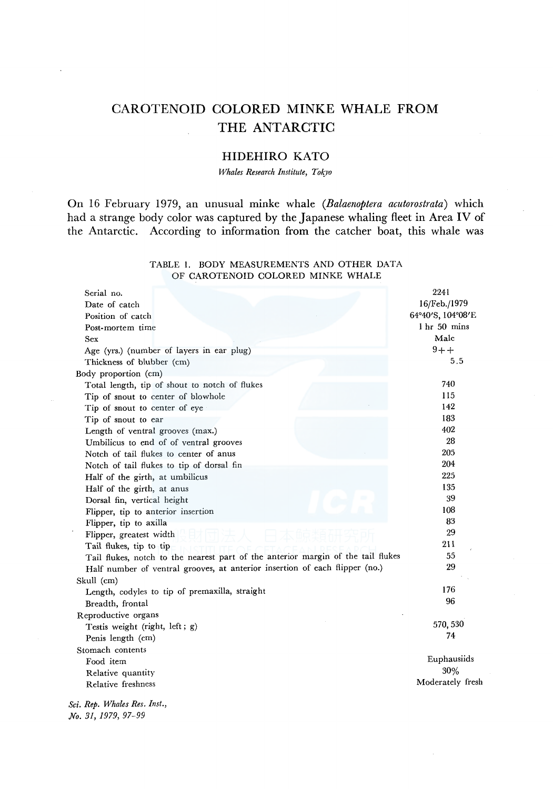# CAROTENOID COLORED MINKE WHALE FROM THE ANTARCTIC

# HIDEHIRO KATO

*T17hales Research Institute, Tokyo* 

On 16 February 1979, an unusual minke whale *(Balaenoptera acutorostrata)* which had a strange body color was captured by the Japanese whaling fleet in Area IV of the Antarctic. According to information from the catcher boat, this whale was

### TABLE 1. BODY MEASUREMENTS AND OTHER DATA OF CAROTENOID COLORED MINKE WHALE

| Serial no.                                                                       | 2241              |
|----------------------------------------------------------------------------------|-------------------|
| Date of catch                                                                    | 16/Feb./1979      |
| Position of catch                                                                | 64°40'S, 104°08'E |
| Post-mortem time                                                                 | 1 hr 50 mins      |
| Sex                                                                              | Male              |
| Age (yrs.) (number of layers in ear plug)                                        | $9 + +$           |
| Thickness of blubber (cm)                                                        | 5.5               |
| Body proportion (cm)                                                             |                   |
| Total length, tip of shout to notch of flukes                                    | 740               |
| Tip of snout to center of blowhole                                               | 115               |
| Tip of snout to center of eye                                                    | 142               |
| Tip of snout to ear                                                              | 183               |
| Length of ventral grooves (max.)                                                 | 402               |
| Umbilicus to end of of ventral grooves                                           | 28                |
| Notch of tail flukes to center of anus                                           | 205               |
| Notch of tail flukes to tip of dorsal fin                                        | 204               |
| Half of the girth, at umbilicus                                                  | 225               |
| Half of the girth, at anus                                                       | 135               |
| Dorsal fin, vertical height                                                      | 39                |
| Flipper, tip to anterior insertion                                               | 108               |
| Flipper, tip to axilla                                                           | 83                |
| Flipper, greatest width                                                          | 29                |
| Tail flukes, tip to tip                                                          | 211               |
| Tail flukes, notch to the nearest part of the anterior margin of the tail flukes | 55                |
| Half number of ventral grooves, at anterior insertion of each flipper (no.)      | 29                |
| Skull (cm)                                                                       |                   |
| Length, codyles to tip of premaxilla, straight                                   | 176               |
| Breadth, frontal                                                                 | 96                |
| Reproductive organs                                                              |                   |
| Testis weight (right, left; g)                                                   | 570, 530          |
| Penis length (cm)                                                                | 74                |
| Stomach contents                                                                 |                   |
| Food item                                                                        | Euphausiids       |
| Relative quantity                                                                | 30%               |
| Relative freshness                                                               | Moderately fresh  |
| Sci. Rep. Whales Res. Inst.,                                                     |                   |
| No. 31, 1979, 97-99                                                              |                   |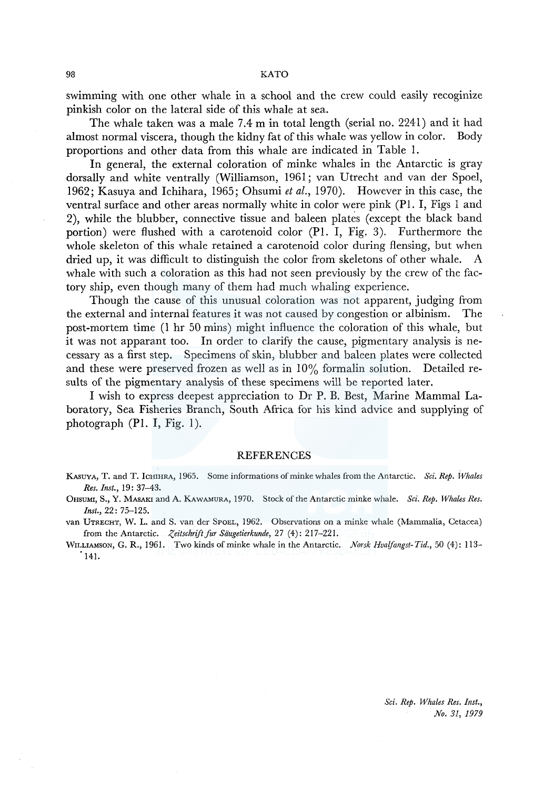swimming with one other whale in a school and the crew could easily recoginize pinkish color on the lateral side of this whale at sea.

The whale taken was a male 7.4 m in total length (serial no. 2241) and it had almost normal viscera, though the kidny fat of this whale was yellow in color. Body proportions and other data from this whale are indicated in Table 1.

In general, the external coloration of minke whales in the Antarctic is gray dorsally and white ventrally (Williamson, 1961; van Utrecht and van der Spoel, 1962; Kasuya and lchihara, 1965; Ohsumi *et al.,* 1970). However in this case, the ventral surface and other areas normally white in color were pink (Pl. I, Figs 1 and 2), while the blubber, connective tissue and baleen plates (except the black band portion) were flushed with a carotenoid color (Pl. I, Fig. 3). Furthermore the whole skeleton of this whale retained a carotenoid color during flensing, but when dried up, it was difficult to distinguish the color from skeletons of other whale. A whale with such a coloration as this had not seen previously by the crew of the factory ship, even though many of them had much whaling experience.

Though the cause of this unusual coloration was not apparent, judging from the external and internal features it was not caused by congestion or albinism. The post-mortem time (1 hr 50 mins) might influence the coloration of this whale, but it was not apparant too. In order to clarify the cause, pigmentary analysis is necessary as a first step. Specimens of skin, blubber and baleen plates were collected and these were preserved frozen as well as in  $10\%$  formalin solution. Detailed results of the pigmentary analysis of these specimens will be reported later.

I wish to express deepest appreciation to Dr P. B. Best, Marine Mammal Laboratory, Sea Fisheries Branch, South Africa for his kind advice and supplying of photograph (Pl. I, Fig. l ).

#### **REFERENCES**

WILLIAMSON, G. R., 1961. Two kinds of minke whale in the Antarctic. *Norsk Hvalfangst-Tid.,* 50 (4): 113- 141.

KASUYA, T. and T. ICHIHRA, 1965. Some informations of minke whales from the Antarctic. *Sci. Rep. Whales Res. Inst.,* 19: 37-43.

<sup>0</sup>HSUMI, S., Y. MASAKI and A. KAWAMURA, 1970. Stock of the Antarctic minke whale. *Sci. Rep. Whales Res. Inst.,* 22: 75-125.

van UTRECHT, W. L. and S. van der SPOEL, 1962. Observations on a minke whale (Mammalia, Cetacea) from the Antarctic. *Zeitschrift fur Säugetierkunde*, 27 (4): 217-221.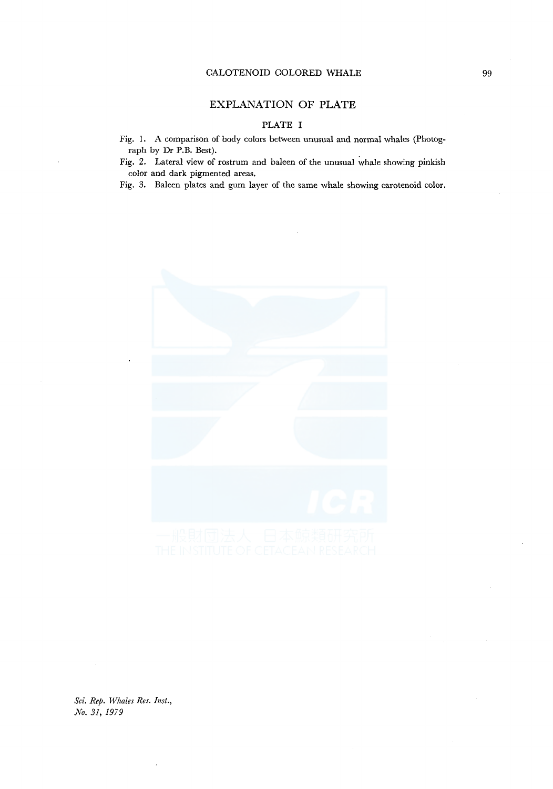### CALOTENOID COLORED WHALE

# EXPLANATION OF **PLATE**

## PLATE I

Fig. 1. A comparison of body colors between unusual and normal whales (Photograph by Dr P.B. Best).

Fig. 2. Lateral view of rostrum and baleen of the unusual whale showing pinkish color and dark pigmented areas.

Fig. 3. Baleen plates and gum layer of the same whale showing carotenoid color.



*Sci. Rep. Whales Res. Inst., No. 31, 1979*